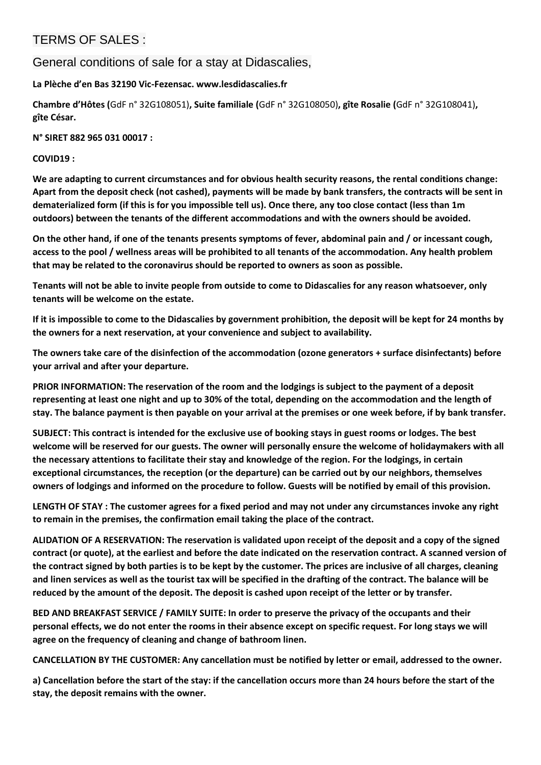## TERMS OF SALES :

General conditions of sale for a stay at Didascalies,

**La Plèche d'en Bas 32190 Vic-Fezensac. www.lesdidascalies.fr**

**Chambre d'Hôtes (**GdF n° 32G108051)**, Suite familiale (**GdF n° 32G108050)**, gîte Rosalie (**GdF n° 32G108041)**, gîte César.**

**N° SIRET 882 965 031 00017 :**

**COVID19 :**

**We are adapting to current circumstances and for obvious health security reasons, the rental conditions change: Apart from the deposit check (not cashed), payments will be made by bank transfers, the contracts will be sent in dematerialized form (if this is for you impossible tell us). Once there, any too close contact (less than 1m outdoors) between the tenants of the different accommodations and with the owners should be avoided.** 

**On the other hand, if one of the tenants presents symptoms of fever, abdominal pain and / or incessant cough, access to the pool / wellness areas will be prohibited to all tenants of the accommodation. Any health problem that may be related to the coronavirus should be reported to owners as soon as possible.** 

**Tenants will not be able to invite people from outside to come to Didascalies for any reason whatsoever, only tenants will be welcome on the estate.** 

**If it is impossible to come to the Didascalies by government prohibition, the deposit will be kept for 24 months by the owners for a next reservation, at your convenience and subject to availability.** 

**The owners take care of the disinfection of the accommodation (ozone generators + surface disinfectants) before your arrival and after your departure.** 

**PRIOR INFORMATION: The reservation of the room and the lodgings is subject to the payment of a deposit representing at least one night and up to 30% of the total, depending on the accommodation and the length of stay. The balance payment is then payable on your arrival at the premises or one week before, if by bank transfer.** 

**SUBJECT: This contract is intended for the exclusive use of booking stays in guest rooms or lodges. The best welcome will be reserved for our guests. The owner will personally ensure the welcome of holidaymakers with all the necessary attentions to facilitate their stay and knowledge of the region. For the lodgings, in certain exceptional circumstances, the reception (or the departure) can be carried out by our neighbors, themselves owners of lodgings and informed on the procedure to follow. Guests will be notified by email of this provision.** 

**LENGTH OF STAY : The customer agrees for a fixed period and may not under any circumstances invoke any right to remain in the premises, the confirmation email taking the place of the contract.**

**ALIDATION OF A RESERVATION: The reservation is validated upon receipt of the deposit and a copy of the signed contract (or quote), at the earliest and before the date indicated on the reservation contract. A scanned version of the contract signed by both parties is to be kept by the customer. The prices are inclusive of all charges, cleaning and linen services as well as the tourist tax will be specified in the drafting of the contract. The balance will be reduced by the amount of the deposit. The deposit is cashed upon receipt of the letter or by transfer.** 

**BED AND BREAKFAST SERVICE / FAMILY SUITE: In order to preserve the privacy of the occupants and their personal effects, we do not enter the rooms in their absence except on specific request. For long stays we will agree on the frequency of cleaning and change of bathroom linen.** 

**CANCELLATION BY THE CUSTOMER: Any cancellation must be notified by letter or email, addressed to the owner.** 

**a) Cancellation before the start of the stay: if the cancellation occurs more than 24 hours before the start of the stay, the deposit remains with the owner.**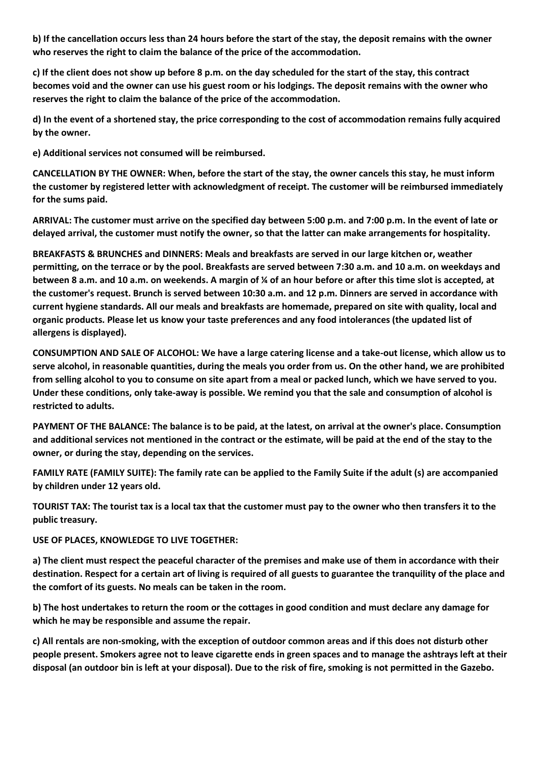**b) If the cancellation occurs less than 24 hours before the start of the stay, the deposit remains with the owner who reserves the right to claim the balance of the price of the accommodation.** 

**c) If the client does not show up before 8 p.m. on the day scheduled for the start of the stay, this contract becomes void and the owner can use his guest room or his lodgings. The deposit remains with the owner who reserves the right to claim the balance of the price of the accommodation.** 

**d) In the event of a shortened stay, the price corresponding to the cost of accommodation remains fully acquired by the owner.** 

**e) Additional services not consumed will be reimbursed.** 

**CANCELLATION BY THE OWNER: When, before the start of the stay, the owner cancels this stay, he must inform the customer by registered letter with acknowledgment of receipt. The customer will be reimbursed immediately for the sums paid.** 

**ARRIVAL: The customer must arrive on the specified day between 5:00 p.m. and 7:00 p.m. In the event of late or delayed arrival, the customer must notify the owner, so that the latter can make arrangements for hospitality.**

**BREAKFASTS & BRUNCHES and DINNERS: Meals and breakfasts are served in our large kitchen or, weather permitting, on the terrace or by the pool. Breakfasts are served between 7:30 a.m. and 10 a.m. on weekdays and between 8 a.m. and 10 a.m. on weekends. A margin of ¼ of an hour before or after this time slot is accepted, at the customer's request. Brunch is served between 10:30 a.m. and 12 p.m. Dinners are served in accordance with current hygiene standards. All our meals and breakfasts are homemade, prepared on site with quality, local and organic products. Please let us know your taste preferences and any food intolerances (the updated list of allergens is displayed).** 

**CONSUMPTION AND SALE OF ALCOHOL: We have a large catering license and a take-out license, which allow us to serve alcohol, in reasonable quantities, during the meals you order from us. On the other hand, we are prohibited from selling alcohol to you to consume on site apart from a meal or packed lunch, which we have served to you. Under these conditions, only take-away is possible. We remind you that the sale and consumption of alcohol is restricted to adults.** 

**PAYMENT OF THE BALANCE: The balance is to be paid, at the latest, on arrival at the owner's place. Consumption and additional services not mentioned in the contract or the estimate, will be paid at the end of the stay to the owner, or during the stay, depending on the services.** 

**FAMILY RATE (FAMILY SUITE): The family rate can be applied to the Family Suite if the adult (s) are accompanied by children under 12 years old.** 

**TOURIST TAX: The tourist tax is a local tax that the customer must pay to the owner who then transfers it to the public treasury.** 

## **USE OF PLACES, KNOWLEDGE TO LIVE TOGETHER:**

**a) The client must respect the peaceful character of the premises and make use of them in accordance with their destination. Respect for a certain art of living is required of all guests to guarantee the tranquility of the place and the comfort of its guests. No meals can be taken in the room.** 

**b) The host undertakes to return the room or the cottages in good condition and must declare any damage for which he may be responsible and assume the repair.** 

**c) All rentals are non-smoking, with the exception of outdoor common areas and if this does not disturb other people present. Smokers agree not to leave cigarette ends in green spaces and to manage the ashtrays left at their disposal (an outdoor bin is left at your disposal). Due to the risk of fire, smoking is not permitted in the Gazebo.**